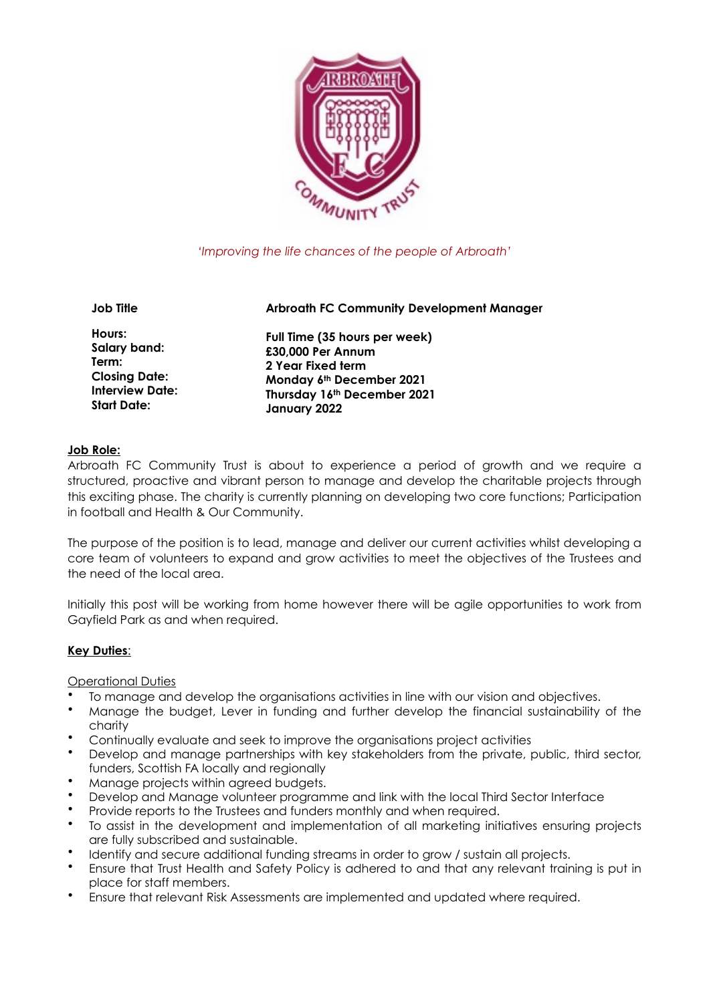

# *'Improving the life chances of the people of Arbroath'*

**Job Title** 

**Hours: Salary band: Term: Closing Date: Interview Date: Start Date:** 

**Full Time (35 hours per week) £30,000 Per Annum 2 Year Fixed term Monday 6th December 2021 Thursday 16th December 2021 January 2022**

**Arbroath FC Community Development Manager** 

#### **Job Role:**

Arbroath FC Community Trust is about to experience a period of growth and we require a structured, proactive and vibrant person to manage and develop the charitable projects through this exciting phase. The charity is currently planning on developing two core functions; Participation in football and Health & Our Community.

The purpose of the position is to lead, manage and deliver our current activities whilst developing a core team of volunteers to expand and grow activities to meet the objectives of the Trustees and the need of the local area.

Initially this post will be working from home however there will be agile opportunities to work from Gayfield Park as and when required.

# **Key Duties**:

Operational Duties

- To manage and develop the organisations activities in line with our vision and objectives.
- Manage the budget, Lever in funding and further develop the financial sustainability of the charity
- Continually evaluate and seek to improve the organisations project activities
- Develop and manage partnerships with key stakeholders from the private, public, third sector, funders, Scottish FA locally and regionally
- Manage projects within agreed budgets.
- Develop and Manage volunteer programme and link with the local Third Sector Interface
- Provide reports to the Trustees and funders monthly and when required.
- To assist in the development and implementation of all marketing initiatives ensuring projects are fully subscribed and sustainable.
- Identify and secure additional funding streams in order to grow / sustain all projects.
- Ensure that Trust Health and Safety Policy is adhered to and that any relevant training is put in place for staff members.
- Ensure that relevant Risk Assessments are implemented and updated where required.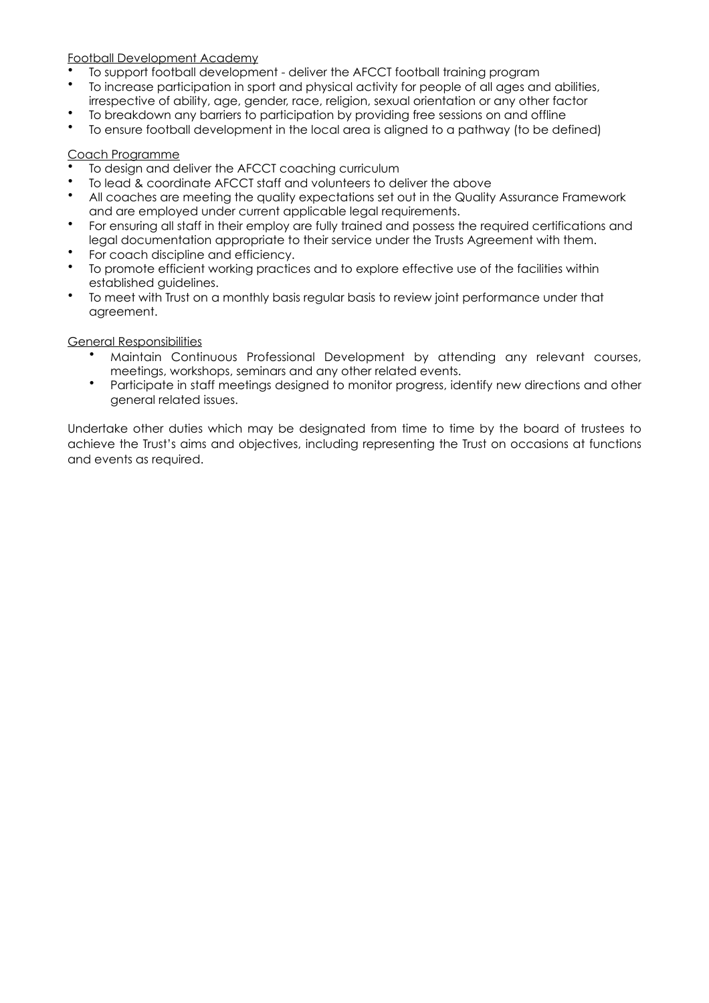# Football Development Academy

- To support football development deliver the AFCCT football training program
- To increase participation in sport and physical activity for people of all ages and abilities, irrespective of ability, age, gender, race, religion, sexual orientation or any other factor
- To breakdown any barriers to participation by providing free sessions on and offline
- To ensure football development in the local area is aligned to a pathway (to be defined)

#### Coach Programme

- To design and deliver the AFCCT coaching curriculum
- To lead & coordinate AFCCT staff and volunteers to deliver the above
- All coaches are meeting the quality expectations set out in the Quality Assurance Framework and are employed under current applicable legal requirements.
- For ensuring all staff in their employ are fully trained and possess the required certifications and legal documentation appropriate to their service under the Trusts Agreement with them.
- For coach discipline and efficiency.
- To promote efficient working practices and to explore effective use of the facilities within established guidelines.
- To meet with Trust on a monthly basis regular basis to review joint performance under that agreement.

#### General Responsibilities

- Maintain Continuous Professional Development by attending any relevant courses, meetings, workshops, seminars and any other related events.
- Participate in staff meetings designed to monitor progress, identify new directions and other general related issues.

Undertake other duties which may be designated from time to time by the board of trustees to achieve the Trust's aims and objectives, including representing the Trust on occasions at functions and events as required.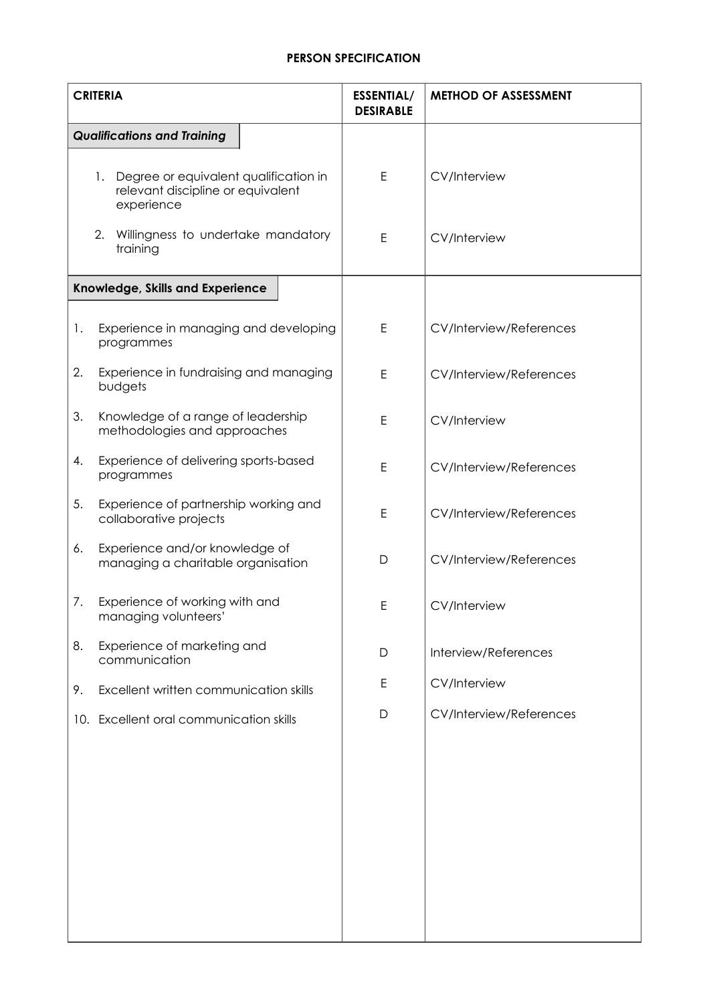# **PERSON SPECIFICATION**

| <b>CRITERIA</b> |                                                                                                | <b>ESSENTIAL/</b><br><b>DESIRABLE</b> | <b>METHOD OF ASSESSMENT</b> |
|-----------------|------------------------------------------------------------------------------------------------|---------------------------------------|-----------------------------|
|                 | <b>Qualifications and Training</b>                                                             |                                       |                             |
|                 | 1.<br>Degree or equivalent qualification in<br>relevant discipline or equivalent<br>experience | E                                     | <b>CV/Interview</b>         |
|                 | 2.<br>Willingness to undertake mandatory<br>training                                           | E                                     | <b>CV/Interview</b>         |
|                 | Knowledge, Skills and Experience                                                               |                                       |                             |
| 1.              | Experience in managing and developing<br>programmes                                            | E                                     | CV/Interview/References     |
| 2.              | Experience in fundraising and managing<br>budgets                                              | E                                     | CV/Interview/References     |
| 3.              | Knowledge of a range of leadership<br>methodologies and approaches                             | E                                     | <b>CV/Interview</b>         |
| 4.              | Experience of delivering sports-based<br>programmes                                            | E                                     | CV/Interview/References     |
| 5.              | Experience of partnership working and<br>collaborative projects                                | $\mathsf E$                           | CV/Interview/References     |
| 6.              | Experience and/or knowledge of<br>managing a charitable organisation                           | D                                     | CV/Interview/References     |
| 7.              | Experience of working with and<br>managing volunteers'                                         | E                                     | <b>CV/Interview</b>         |
| 8.              | Experience of marketing and<br>communication                                                   | $\mathsf D$                           | Interview/References        |
| 9.              | Excellent written communication skills                                                         | E                                     | CV/Interview                |
|                 | 10. Excellent oral communication skills                                                        | D                                     | CV/Interview/References     |
|                 |                                                                                                |                                       |                             |
|                 |                                                                                                |                                       |                             |
|                 |                                                                                                |                                       |                             |
|                 |                                                                                                |                                       |                             |
|                 |                                                                                                |                                       |                             |
|                 |                                                                                                |                                       |                             |
|                 |                                                                                                |                                       |                             |